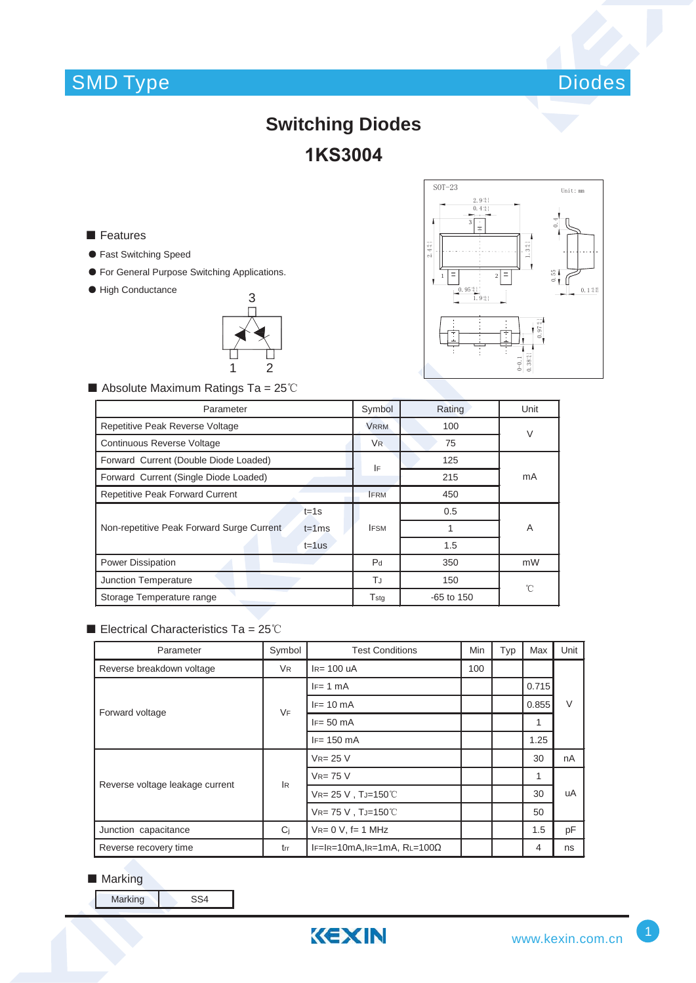# SMD Type



# **Switching Diodes 1KS3004**

### **■** Features

- ƽ Fast Switching Speed
- ƽ For General Purpose Switching Applications.
- ƽ High Conductance





 $\blacksquare$  Absolute Maximum Ratings Ta = 25°C

| Parameter                                               |                | Rating       | Unit   |  |
|---------------------------------------------------------|----------------|--------------|--------|--|
| Repetitive Peak Reverse Voltage                         |                | 100          | $\vee$ |  |
| Continuous Reverse Voltage                              |                | 75           |        |  |
| Forward Current (Double Diode Loaded)                   |                | 125          | mA     |  |
| Forward Current (Single Diode Loaded)                   |                | 215          |        |  |
| <b>Repetitive Peak Forward Current</b>                  | <b>IFRM</b>    | 450          |        |  |
| $t = 1s$                                                | <b>IFSM</b>    | 0.5          |        |  |
| Non-repetitive Peak Forward Surge Current<br>$t = 1$ ms |                |              | A      |  |
| $t = 1$ us                                              |                | 1.5          |        |  |
| Power Dissipation                                       | P <sub>d</sub> | 350          | mW     |  |
| Junction Temperature                                    | TJ             | 150          | °C     |  |
| Storage Temperature range                               |                | $-65$ to 150 |        |  |

#### Electrical Characteristics Ta =  $25^{\circ}$ C

| Parameter                       | Symbol         | <b>Test Conditions</b>             | Min | Typ | Max   | Unit   |  |
|---------------------------------|----------------|------------------------------------|-----|-----|-------|--------|--|
| Reverse breakdown voltage       | V <sub>R</sub> | $IR= 100$ uA                       | 100 |     |       |        |  |
| Forward voltage                 | <b>VF</b>      | $IF = 1 mA$                        |     |     | 0.715 | $\vee$ |  |
|                                 |                | $IF = 10 \text{ mA}$               |     |     | 0.855 |        |  |
|                                 |                | $IF = 50$ mA                       |     |     | 1     |        |  |
|                                 |                | $IF = 150$ mA                      |     |     | 1.25  |        |  |
| Reverse voltage leakage current |                | $V_{R} = 25 V$                     |     |     | 30    | nA     |  |
|                                 | <b>IR</b>      | $V_{R=}$ 75 V                      |     |     | 1     |        |  |
|                                 |                | $V_{R=}$ 25 V, TJ=150°C            |     |     | 30    | uA     |  |
|                                 |                | VR= 75 V, TJ=150°C                 |     |     | 50    |        |  |
| Junction capacitance            | C <sub>i</sub> | $V_{R} = 0 V$ , f= 1 MHz           |     |     | 1.5   | pF     |  |
| Reverse recovery time           | trr            | IF=IR=10mA,IR=1mA, RL=100 $\Omega$ |     |     | 4     | ns     |  |

### ■ Marking

Marking SS4